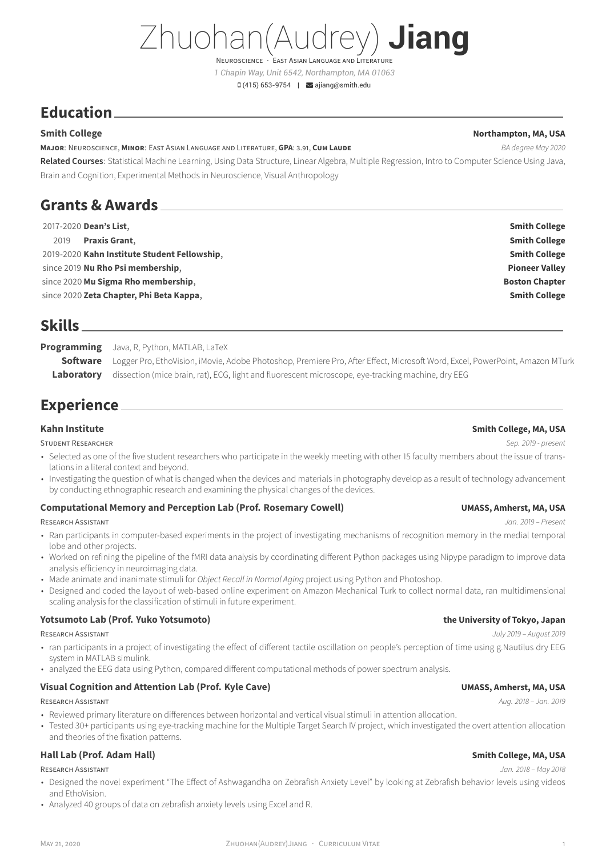# Zhuohan(Audrey) **Jiang**

NEUROSCIENCE · EAST ASIAN LANGUAGE AND LITERATU *1 Chapin Way, Unit 6542, Northampton, MA 01063*

 $\Box$  (415) 653-9754 |  $\Box$  [ajiang@smith.edu](mailto:ajiang@smith.edu)

# **Education**

### **MAJOR**: NEUROSCIENCE, **MINOR**: EAST ASIAN LANGUAGE AND LITERATURE, **GPA**: 3.91, **CUM LAUDE** *BA degree May 2020*

**Related Courses**: Statistical Machine Learning, Using Data Structure, Linear Algebra, Multiple Regression, Intro to Computer Science Using Java, Brain and Cognition, Experimental Methods in Neuroscience, Visual Anthropology

# **Grants & Awards**

| 2017-2020 Dean's List,                       | <b>Smith College</b>  |
|----------------------------------------------|-----------------------|
| <b>Praxis Grant,</b><br>2019                 | <b>Smith College</b>  |
| 2019-2020 Kahn Institute Student Fellowship, | <b>Smith College</b>  |
| since 2019 Nu Rho Psi membership,            | <b>Pioneer Valley</b> |
| since 2020 Mu Sigma Rho membership,          | <b>Boston Chapter</b> |
| since 2020 Zeta Chapter, Phi Beta Kappa,     | <b>Smith College</b>  |

# **Skills**

**Programming** Java, R, Python, MATLAB, LaTeX **Software** Logger Pro, EthoVision, iMovie, Adobe Photoshop, Premiere Pro, After Effect, Microsoft Word, Excel, PowerPoint, Amazon MTurk **Laboratory** dissection (mice brain, rat), ECG, light and fluorescent microscope, eye-tracking machine, dry EEG

# **Experience**

**Kahn Institute Smith College, MA, USA** STUDENT RESEARCHER *Sep. 2019 - present*

- Selected as one of the five student researchers who participate in the weekly meeting with other 15 faculty members about the issue of translations in a literal context and beyond.
- Investigating the question of what is changed when the devices and materials in photography develop as a result of technology advancement by conducting ethnographic research and examining the physical changes of the devices.

### **Computational Memory and Perception Lab (Prof. Rosemary Cowell) UMASS, Amherst, MA, USA**

### RESEARCH ASSISTANT *Jan. 2019 – Present*

- Ran participants in computer-based experiments in the project of investigating mechanisms of recognition memory in the medial temporal lobe and other projects.
- Worked on refining the pipeline of the fMRI data analysis by coordinating different Python packages using Nipype paradigm to improve data analysis efficiency in neuroimaging data.
- Made animate and inanimate stimuli for *Object Recall in Normal Aging* project using Python and Photoshop.
- Designed and coded the layout of web-based online experiment on Amazon Mechanical Turk to collect normal data, ran multidimensional scaling analysis for the classification of stimuli in future experiment.

### **Yotsumoto Lab (Prof. Yuko Yotsumoto) the University of Tokyo, Japan**

### RESEARCH ASSISTANT *July 2019 – August 2019*

- ran participants in a project of investigating the effect of different tactile oscillation on people's perception of time using g.Nautilus dry EEG system in MATLAB simulink.
- analyzed the EEG data using Python, compared different computational methods of power spectrum analysis.

### **Visual Cognition and Attention Lab (Prof. Kyle Cave) UMASS, Amherst, MA, USA**

### RESEARCH ASSISTANT *Aug. 2018 – Jan. 2019*

- Reviewed primary literature on differences between horizontal and vertical visual stimuli in attention allocation.
- Tested 30+ participants using eye-tracking machine for the Multiple Target Search IV project, which investigated the overt attention allocation and theories of the fixation patterns.

### **Hall Lab (Prof. Adam Hall) Smith College, MA, USA**

- Designed the novel experiment "The Effect of Ashwagandha on Zebrafish Anxiety Level" by looking at Zebrafish behavior levels using videos and EthoVision.
- Analyzed 40 groups of data on zebrafish anxiety levels using Excel and R.

### RESEARCH ASSISTANT *Jan. 2018 – May 2018*

## **Smith College Northampton, MA, USA**